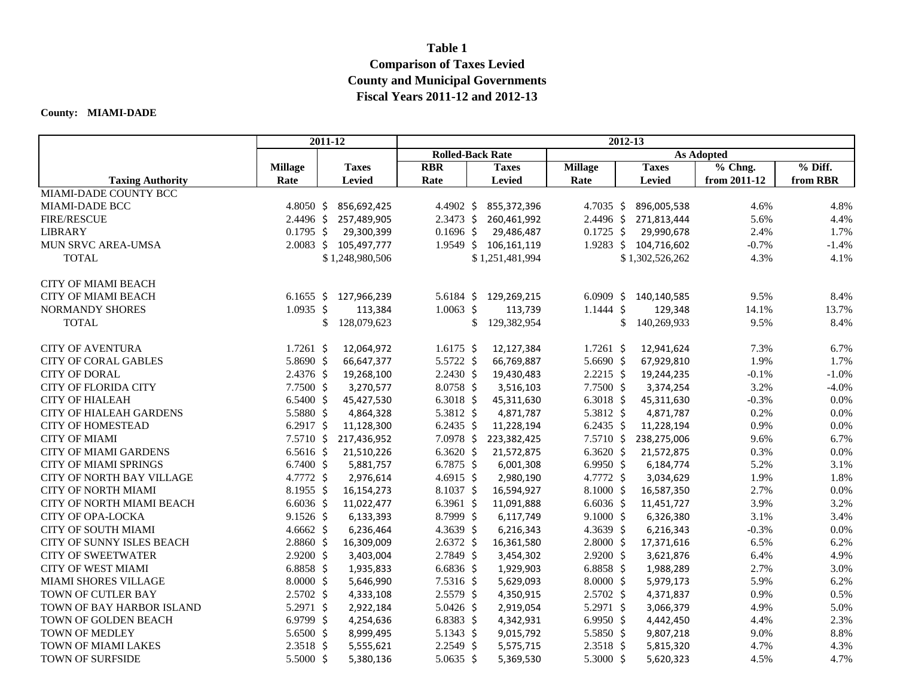## **Table 1 Comparison of Taxes Levied County and Municipal Governments Fiscal Years 2011-12 and 2012-13**

## **County: MIAMI-DADE**

|                                  |                      | 2011-12               | 2012-13           |                         |                      |                       |              |           |
|----------------------------------|----------------------|-----------------------|-------------------|-------------------------|----------------------|-----------------------|--------------|-----------|
|                                  |                      |                       |                   | <b>Rolled-Back Rate</b> |                      | <b>As Adopted</b>     |              |           |
|                                  | <b>Millage</b>       | <b>Taxes</b>          | <b>RBR</b>        | <b>Taxes</b>            | <b>Millage</b>       | <b>Taxes</b>          | % Chng.      | $%$ Diff. |
| <b>Taxing Authority</b>          | Rate                 | <b>Levied</b>         | Rate              | Levied                  | Rate                 | <b>Levied</b>         | from 2011-12 | from RBR  |
| <b>MIAMI-DADE COUNTY BCC</b>     |                      |                       |                   |                         |                      |                       |              |           |
| MIAMI-DADE BCC                   | 4.8050 \$            | 856,692,425           | 4.4902 \$         | 855,372,396             |                      | 4.7035 \$ 896,005,538 | 4.6%         | 4.8%      |
| <b>FIRE/RESCUE</b>               | $2.4496 \text{ }$    | 257,489,905           | $2.3473$ \$       | 260,461,992             |                      | 2.4496 \$ 271,813,444 | 5.6%         | 4.4%      |
| <b>LIBRARY</b>                   | $0.1795$ \$          | 29,300,399            | $0.1696$ \$       | 29,486,487              | $0.1725$ \$          | 29,990,678            | 2.4%         | 1.7%      |
| MUN SRVC AREA-UMSA               |                      | 2.0083 \$ 105,497,777 |                   | 1.9549 \$ 106,161,119   |                      | 1.9283 \$ 104,716,602 | $-0.7\%$     | $-1.4%$   |
| <b>TOTAL</b>                     |                      | \$1,248,980,506       |                   | \$1,251,481,994         |                      | \$1,302,526,262       | 4.3%         | 4.1%      |
| <b>CITY OF MIAMI BEACH</b>       |                      |                       |                   |                         |                      |                       |              |           |
| <b>CITY OF MIAMI BEACH</b>       | $6.1655$ \$          | 127,966,239           | 5.6184 \$         | 129,269,215             | $6.0909$ \$          | 140,140,585           | 9.5%         | 8.4%      |
| <b>NORMANDY SHORES</b>           | $1.0935$ \$          | 113,384               | $1.0063$ \$       | 113,739                 | $1.1444 \; \text{S}$ | 129,348               | 14.1%        | 13.7%     |
| <b>TOTAL</b>                     |                      | \$<br>128,079,623     |                   | \$<br>129,382,954       |                      | \$<br>140,269,933     | 9.5%         | 8.4%      |
| <b>CITY OF AVENTURA</b>          | $1.7261$ \$          | 12,064,972            | $1.6175 \;$ \$    | 12,127,384              | $1.7261$ \$          | 12,941,624            | 7.3%         | 6.7%      |
| <b>CITY OF CORAL GABLES</b>      | 5.8690 \$            | 66,647,377            | 5.5722 \$         | 66,769,887              | 5.6690 \$            | 67,929,810            | 1.9%         | 1.7%      |
| <b>CITY OF DORAL</b>             | $2.4376$ \$          | 19,268,100            | $2.2430 \;$ \$    | 19,430,483              | $2.2215$ \$          | 19,244,235            | $-0.1%$      | $-1.0%$   |
| <b>CITY OF FLORIDA CITY</b>      | $7.7500 \;$ \$       | 3,270,577             | $8.0758$ \$       | 3,516,103               | $7.7500 \;$ \$       | 3,374,254             | 3.2%         | $-4.0%$   |
| <b>CITY OF HIALEAH</b>           | $6.5400 \;$ \$       | 45,427,530            | 6.3018 \$         | 45,311,630              | 6.3018 \$            | 45,311,630            | $-0.3%$      | 0.0%      |
| <b>CITY OF HIALEAH GARDENS</b>   | 5.5880 \$            | 4,864,328             | 5.3812 \$         | 4,871,787               | 5.3812 \$            | 4,871,787             | 0.2%         | 0.0%      |
| <b>CITY OF HOMESTEAD</b>         | 6.2917 \$            | 11,128,300            | $6.2435$ \$       | 11,228,194              | $6.2435$ \$          | 11,228,194            | 0.9%         | 0.0%      |
| <b>CITY OF MIAMI</b>             | $7.5710 \;$ \$       | 217,436,952           | $7.0978$ \$       | 223,382,425             | $7.5710 \;$ \$       | 238,275,006           | 9.6%         | 6.7%      |
| <b>CITY OF MIAMI GARDENS</b>     | $6.5616$ \$          | 21,510,226            | 6.3620 \$         | 21,572,875              | 6.3620 \$            | 21,572,875            | 0.3%         | 0.0%      |
| <b>CITY OF MIAMI SPRINGS</b>     | $6.7400 \text{ }$    | 5,881,757             | 6.7875 \$         | 6,001,308               | $6.9950 \;$ \$       | 6,184,774             | 5.2%         | 3.1%      |
| <b>CITY OF NORTH BAY VILLAGE</b> | 4.7772 \$            | 2,976,614             | 4.6915 \$         | 2,980,190               | 4.7772 \$            | 3,034,629             | 1.9%         | 1.8%      |
| <b>CITY OF NORTH MIAMI</b>       | $8.1955$ \$          | 16,154,273            | $8.1037 \text{ }$ | 16,594,927              | $8.1000\;$ \$        | 16,587,350            | 2.7%         | 0.0%      |
| CITY OF NORTH MIAMI BEACH        | $6.6036\;$ \$        | 11,022,477            | 6.3961 \$         | 11,091,888              | $6.6036\;$ \$        | 11,451,727            | 3.9%         | 3.2%      |
| CITY OF OPA-LOCKA                | $9.1526$ \$          | 6,133,393             | $8.7999$ \$       | 6,117,749               | $9.1000 \; \text{S}$ | 6,326,380             | 3.1%         | 3.4%      |
| <b>CITY OF SOUTH MIAMI</b>       | $4.6662 \;$ \$       | 6,236,464             | 4.3639 \$         | 6,216,343               | $4.3639$ \$          | 6,216,343             | $-0.3%$      | 0.0%      |
| CITY OF SUNNY ISLES BEACH        | $2.8860 \; \text{S}$ | 16,309,009            | $2.6372 \div$     | 16,361,580              | $2.8000 \div$        | 17,371,616            | 6.5%         | 6.2%      |
| <b>CITY OF SWEETWATER</b>        | $2.9200$ \$          | 3,403,004             | $2.7849$ \$       | 3,454,302               | $2.9200 \text{ }$    | 3,621,876             | 6.4%         | 4.9%      |
| <b>CITY OF WEST MIAMI</b>        | 6.8858 \$            | 1,935,833             | $6.6836\;$ \$     | 1,929,903               | $6.8858$ \$          | 1,988,289             | 2.7%         | 3.0%      |
| MIAMI SHORES VILLAGE             | $8.0000 \div$        | 5,646,990             | $7.5316$ \$       | 5,629,093               | $8.0000 \div$        | 5,979,173             | 5.9%         | 6.2%      |
| TOWN OF CUTLER BAY               | $2.5702 \div$        | 4,333,108             | $2.5579$ \$       | 4,350,915               | $2.5702 \div$        | 4,371,837             | 0.9%         | 0.5%      |
| TOWN OF BAY HARBOR ISLAND        | 5.2971 \$            | 2,922,184             | 5.0426 \$         | 2,919,054               | 5.2971 \$            | 3,066,379             | 4.9%         | 5.0%      |
| TOWN OF GOLDEN BEACH             | $6.9799$ \$          | 4,254,636             | $6.8383 \;$ \$    | 4,342,931               | 6.9950 \$            | 4,442,450             | 4.4%         | 2.3%      |
| TOWN OF MEDLEY                   | 5.6500 \$            | 8,999,495             | 5.1343 \$         | 9,015,792               | 5.5850 \$            | 9,807,218             | 9.0%         | 8.8%      |
| TOWN OF MIAMI LAKES              | $2.3518$ \$          | 5,555,621             | $2.2549$ \$       | 5,575,715               | $2.3518 \; \simeq$   | 5,815,320             | 4.7%         | 4.3%      |
| TOWN OF SURFSIDE                 | 5.5000 \$            | 5,380,136             | 5.0635 \$         | 5,369,530               | 5.3000 \$            | 5,620,323             | 4.5%         | 4.7%      |